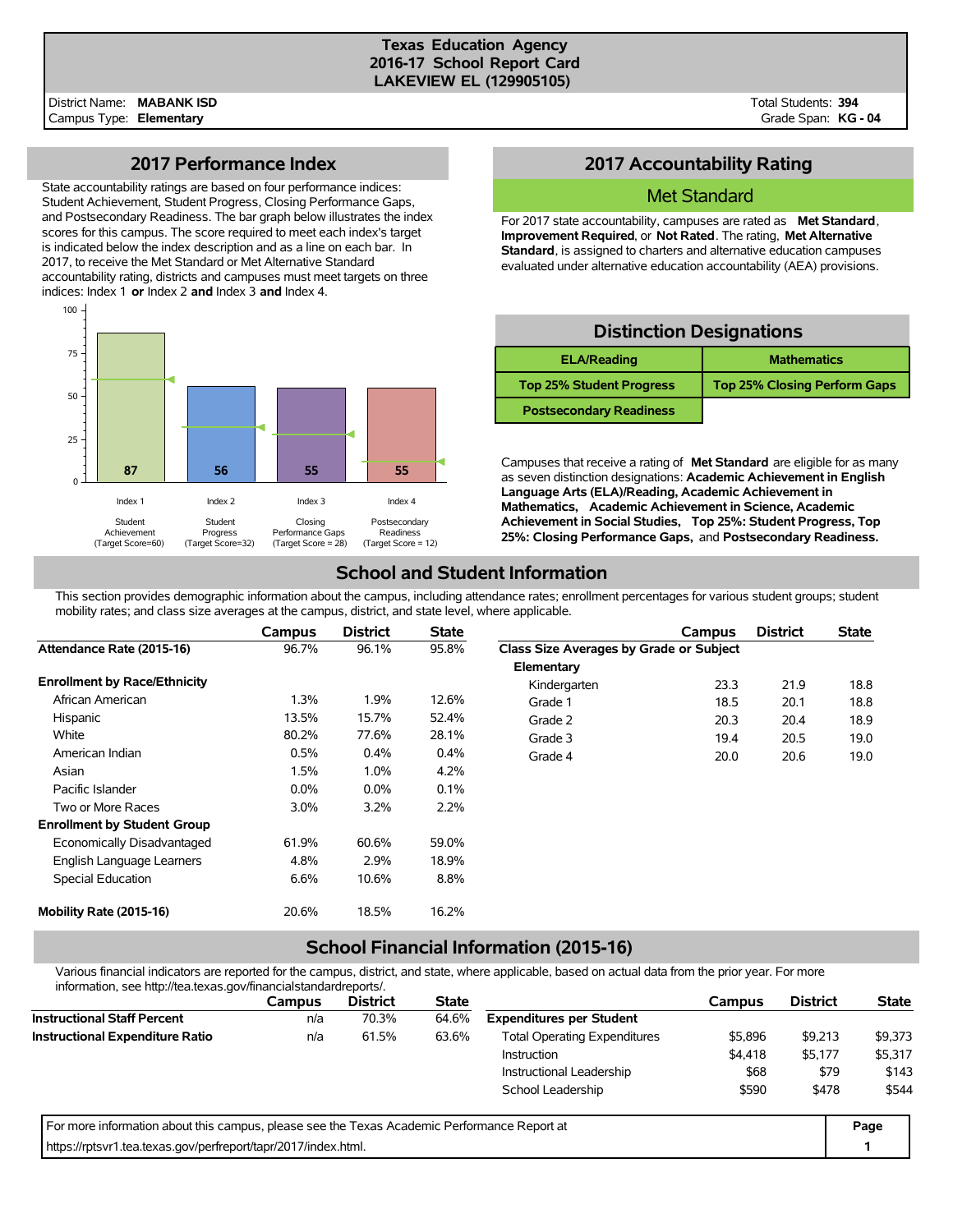#### **Texas Education Agency 2016-17 School Report Card LAKEVIEW EL (129905105)**

Total Students: **394** Grade Span: **KG - 04**

### **2017 Performance Index**

State accountability ratings are based on four performance indices: Student Achievement, Student Progress, Closing Performance Gaps, and Postsecondary Readiness. The bar graph below illustrates the index scores for this campus. The score required to meet each index's target is indicated below the index description and as a line on each bar. In 2017, to receive the Met Standard or Met Alternative Standard accountability rating, districts and campuses must meet targets on three indices: Index 1 **or** Index 2 **and** Index 3 **and** Index 4.



## **2017 Accountability Rating**

#### Met Standard

For 2017 state accountability, campuses are rated as **Met Standard**, **Improvement Required**, or **Not Rated**. The rating, **Met Alternative Standard**, is assigned to charters and alternative education campuses evaluated under alternative education accountability (AEA) provisions.

### **Distinction Designations**

| <b>ELA/Reading</b>              | <b>Mathematics</b>                  |
|---------------------------------|-------------------------------------|
| <b>Top 25% Student Progress</b> | <b>Top 25% Closing Perform Gaps</b> |
| <b>Postsecondary Readiness</b>  |                                     |

Campuses that receive a rating of **Met Standard** are eligible for as many as seven distinction designations: **Academic Achievement in English Language Arts (ELA)/Reading, Academic Achievement in Mathematics, Academic Achievement in Science, Academic Achievement in Social Studies, Top 25%: Student Progress, Top 25%: Closing Performance Gaps,** and **Postsecondary Readiness.**

## **School and Student Information**

This section provides demographic information about the campus, including attendance rates; enrollment percentages for various student groups; student mobility rates; and class size averages at the campus, district, and state level, where applicable.

|                                     | Campus  | <b>District</b> | <b>State</b> |                                         | Campus | <b>District</b> | <b>State</b> |
|-------------------------------------|---------|-----------------|--------------|-----------------------------------------|--------|-----------------|--------------|
| Attendance Rate (2015-16)           | 96.7%   | 96.1%           | 95.8%        | Class Size Averages by Grade or Subject |        |                 |              |
|                                     |         |                 |              | Elementary                              |        |                 |              |
| <b>Enrollment by Race/Ethnicity</b> |         |                 |              | Kindergarten                            | 23.3   | 21.9            | 18.8         |
| African American                    | $1.3\%$ | 1.9%            | 12.6%        | Grade 1                                 | 18.5   | 20.1            | 18.8         |
| Hispanic                            | 13.5%   | 15.7%           | 52.4%        | Grade 2                                 | 20.3   | 20.4            | 18.9         |
| White                               | 80.2%   | 77.6%           | 28.1%        | Grade 3                                 | 19.4   | 20.5            | 19.0         |
| American Indian                     | 0.5%    | 0.4%            | $0.4\%$      | Grade 4                                 | 20.0   | 20.6            | 19.0         |
| Asian                               | 1.5%    | 1.0%            | 4.2%         |                                         |        |                 |              |
| Pacific Islander                    | $0.0\%$ | $0.0\%$         | 0.1%         |                                         |        |                 |              |
| Two or More Races                   | $3.0\%$ | 3.2%            | 2.2%         |                                         |        |                 |              |
| <b>Enrollment by Student Group</b>  |         |                 |              |                                         |        |                 |              |
| Economically Disadvantaged          | 61.9%   | 60.6%           | 59.0%        |                                         |        |                 |              |
| English Language Learners           | 4.8%    | 2.9%            | 18.9%        |                                         |        |                 |              |
| Special Education                   | 6.6%    | 10.6%           | 8.8%         |                                         |        |                 |              |
| Mobility Rate (2015-16)             | 20.6%   | 18.5%           | 16.2%        |                                         |        |                 |              |

# **School Financial Information (2015-16)**

Various financial indicators are reported for the campus, district, and state, where applicable, based on actual data from the prior year. For more information, see http://tea.texas.gov/financialstandardreports/.

| illioilliauvil, see liiup.//tea.texas.gov/illialiciaistalidalulepolts/.                     |               |                 |              |                                 |         |                 |              |
|---------------------------------------------------------------------------------------------|---------------|-----------------|--------------|---------------------------------|---------|-----------------|--------------|
|                                                                                             | <b>Campus</b> | <b>District</b> | <b>State</b> |                                 | Campus  | <b>District</b> | <b>State</b> |
| <b>Instructional Staff Percent</b>                                                          | n/a           | 70.3%           | 64.6%        | <b>Expenditures per Student</b> |         |                 |              |
| <b>Instructional Expenditure Ratio</b>                                                      | n/a           | 61.5%           | 63.6%        | \$9,213                         | \$9,373 |                 |              |
|                                                                                             |               |                 |              | <b>Instruction</b>              | \$4,418 | \$5,177         | \$5,317      |
|                                                                                             |               |                 |              | Instructional Leadership        | \$68    | \$79            | \$143        |
|                                                                                             |               |                 |              | School Leadership               | \$590   | \$478           | \$544        |
| For more information about this campus, please see the Texas Academic Performance Report at |               |                 |              |                                 |         |                 | Page         |
| https://rptsvr1.tea.texas.gov/perfreport/tapr/2017/index.html.                              |               |                 |              |                                 |         |                 |              |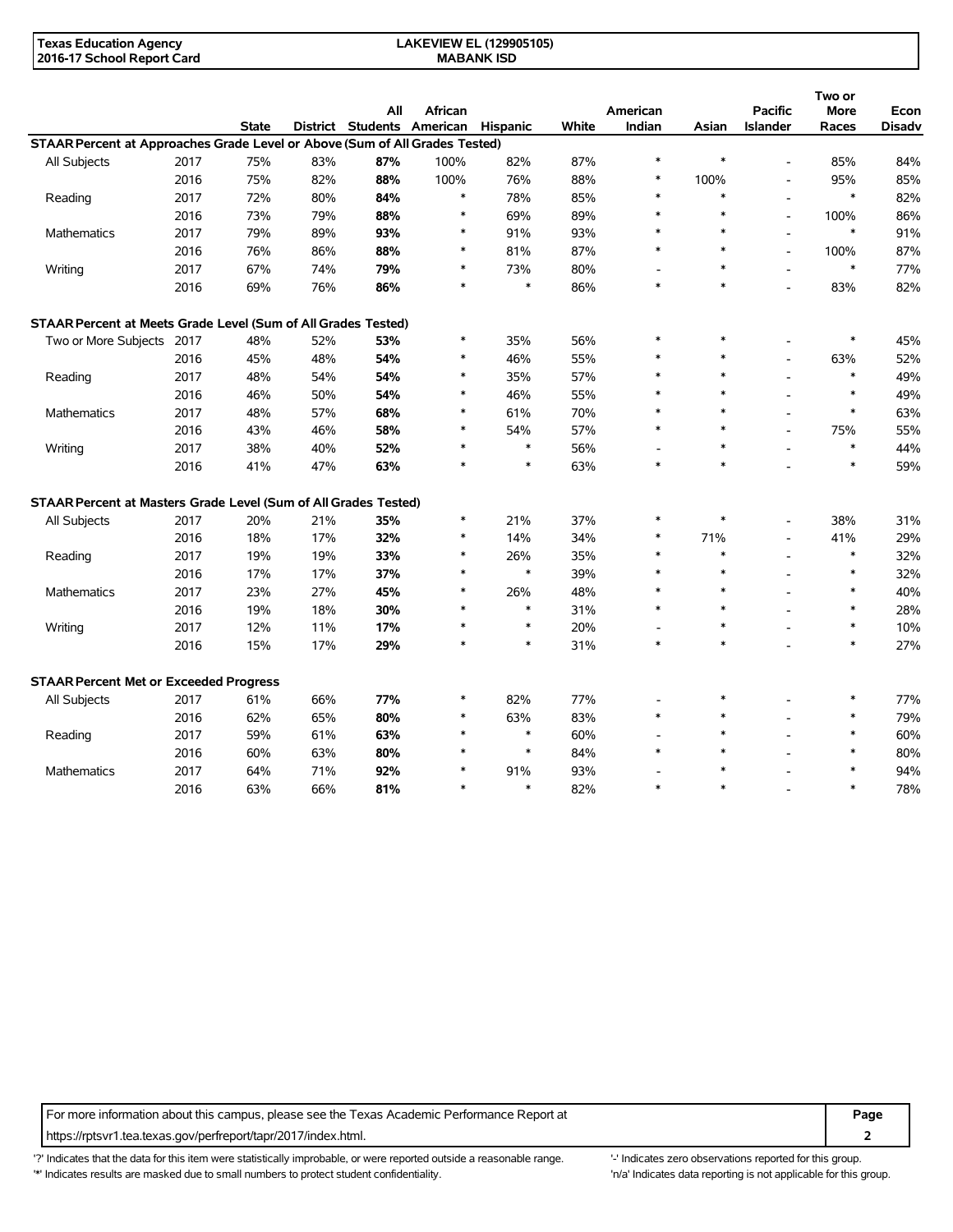| Texas Education Agency     | <b>LAKEVIEW EL (129905105)</b> |  |
|----------------------------|--------------------------------|--|
| 2016-17 School Report Card | <b>MABANK ISD</b>              |  |

|                                                                             |      |              |     | All                                 | African |        |       | American                 |        | <b>Pacific</b>           | Two or<br>More | Econ          |
|-----------------------------------------------------------------------------|------|--------------|-----|-------------------------------------|---------|--------|-------|--------------------------|--------|--------------------------|----------------|---------------|
|                                                                             |      | <b>State</b> |     | District Students American Hispanic |         |        | White | Indian                   | Asian  | <b>Islander</b>          | Races          | <b>Disadv</b> |
| STAAR Percent at Approaches Grade Level or Above (Sum of All Grades Tested) |      |              |     |                                     |         |        |       |                          |        |                          |                |               |
| All Subjects                                                                | 2017 | 75%          | 83% | 87%                                 | 100%    | 82%    | 87%   | $\ast$                   | $\ast$ | $\overline{\phantom{a}}$ | 85%            | 84%           |
|                                                                             | 2016 | 75%          | 82% | 88%                                 | 100%    | 76%    | 88%   | $\ast$                   | 100%   | $\blacksquare$           | 95%            | 85%           |
| Reading                                                                     | 2017 | 72%          | 80% | 84%                                 | $\ast$  | 78%    | 85%   | $\ast$                   | $\ast$ | $\overline{a}$           | $\ast$         | 82%           |
|                                                                             | 2016 | 73%          | 79% | 88%                                 | $\ast$  | 69%    | 89%   | $\ast$                   | $\ast$ | $\overline{\phantom{a}}$ | 100%           | 86%           |
| Mathematics                                                                 | 2017 | 79%          | 89% | 93%                                 | $\ast$  | 91%    | 93%   | $\ast$                   | $\ast$ |                          | $\ast$         | 91%           |
|                                                                             | 2016 | 76%          | 86% | 88%                                 | $\ast$  | 81%    | 87%   | $\ast$                   | $\ast$ | $\overline{a}$           | 100%           | 87%           |
| Writing                                                                     | 2017 | 67%          | 74% | 79%                                 | $\ast$  | 73%    | 80%   | $\overline{a}$           | $\ast$ | $\overline{a}$           | $\ast$         | 77%           |
|                                                                             | 2016 | 69%          | 76% | 86%                                 | $\ast$  | $\ast$ | 86%   | $\ast$                   | $\ast$ | $\overline{a}$           | 83%            | 82%           |
| STAAR Percent at Meets Grade Level (Sum of All Grades Tested)               |      |              |     |                                     |         |        |       |                          |        |                          |                |               |
| Two or More Subjects 2017                                                   |      | 48%          | 52% | 53%                                 | $\ast$  | 35%    | 56%   | $\ast$                   | $\ast$ |                          | $\ast$         | 45%           |
|                                                                             | 2016 | 45%          | 48% | 54%                                 | $\ast$  | 46%    | 55%   | $\ast$                   | $\ast$ | $\blacksquare$           | 63%            | 52%           |
| Reading                                                                     | 2017 | 48%          | 54% | 54%                                 | $\ast$  | 35%    | 57%   | $\ast$                   | $\ast$ | $\overline{a}$           | $\ast$         | 49%           |
|                                                                             | 2016 | 46%          | 50% | 54%                                 | *       | 46%    | 55%   |                          | $\ast$ |                          | $\ast$         | 49%           |
| <b>Mathematics</b>                                                          | 2017 | 48%          | 57% | 68%                                 | $\ast$  | 61%    | 70%   | $\ast$                   | $\ast$ |                          | $\ast$         | 63%           |
|                                                                             | 2016 | 43%          | 46% | 58%                                 | $\ast$  | 54%    | 57%   | $\ast$                   | $\ast$ |                          | 75%            | 55%           |
| Writing                                                                     | 2017 | 38%          | 40% | 52%                                 | $\ast$  | $\ast$ | 56%   | $\overline{a}$           | $\ast$ | $\overline{\phantom{a}}$ | $\ast$         | 44%           |
|                                                                             | 2016 | 41%          | 47% | 63%                                 | $\ast$  | $\ast$ | 63%   | $\ast$                   | $\ast$ |                          | $\ast$         | 59%           |
| STAAR Percent at Masters Grade Level (Sum of All Grades Tested)             |      |              |     |                                     |         |        |       |                          |        |                          |                |               |
| All Subjects                                                                | 2017 | 20%          | 21% | 35%                                 | $\ast$  | 21%    | 37%   | $\ast$                   | $\ast$ |                          | 38%            | 31%           |
|                                                                             | 2016 | 18%          | 17% | 32%                                 | $\ast$  | 14%    | 34%   | $\ast$                   | 71%    | $\overline{a}$           | 41%            | 29%           |
| Reading                                                                     | 2017 | 19%          | 19% | 33%                                 | $\ast$  | 26%    | 35%   | $\ast$                   | $\ast$ | $\overline{a}$           | $\ast$         | 32%           |
|                                                                             | 2016 | 17%          | 17% | 37%                                 | *       | $\ast$ | 39%   | $\ast$                   | $\ast$ |                          | $\ast$         | 32%           |
| <b>Mathematics</b>                                                          | 2017 | 23%          | 27% | 45%                                 | $\ast$  | 26%    | 48%   | $\ast$                   | $\ast$ |                          | $\ast$         | 40%           |
|                                                                             | 2016 | 19%          | 18% | 30%                                 | $\ast$  | $\ast$ | 31%   | $\ast$                   | $\ast$ |                          | $\ast$         | 28%           |
| Writing                                                                     | 2017 | 12%          | 11% | 17%                                 | $\ast$  | $\ast$ | 20%   | $\overline{\phantom{a}}$ | $\ast$ |                          | $\ast$         | 10%           |
|                                                                             | 2016 | 15%          | 17% | 29%                                 | $\ast$  | $\ast$ | 31%   | $\ast$                   | $\ast$ |                          | $\ast$         | 27%           |
| <b>STAAR Percent Met or Exceeded Progress</b>                               |      |              |     |                                     |         |        |       |                          |        |                          |                |               |
| All Subjects                                                                | 2017 | 61%          | 66% | 77%                                 | $\ast$  | 82%    | 77%   |                          | $\ast$ |                          | $\ast$         | 77%           |
|                                                                             | 2016 | 62%          | 65% | 80%                                 | $\ast$  | 63%    | 83%   | $\ast$                   | $\ast$ |                          | $\ast$         | 79%           |
| Reading                                                                     | 2017 | 59%          | 61% | 63%                                 | $\ast$  | $\ast$ | 60%   |                          | $\ast$ |                          | $\ast$         | 60%           |
|                                                                             | 2016 | 60%          | 63% | 80%                                 |         | $\ast$ | 84%   | $\ast$                   |        |                          | $\ast$         | 80%           |
| <b>Mathematics</b>                                                          | 2017 | 64%          | 71% | 92%                                 | $\ast$  | 91%    | 93%   |                          |        |                          | $\ast$         | 94%           |
|                                                                             | 2016 | 63%          | 66% | 81%                                 | $\ast$  | $\ast$ | 82%   | $\ast$                   | $\ast$ |                          | $\ast$         | 78%           |

For more information about this campus, please see the Texas Academic Performance Report at **Page Page** https://rptsvr1.tea.texas.gov/perfreport/tapr/2017/index.html. **2**

'?' Indicates that the data for this item were statistically improbable, or were reported outside a reasonable range. '-' Indicates zero observations reported for this group. '\*' Indicates results are masked due to small numbers to protect student confidentiality. Moreover, the context of the strong is not applicable for this group.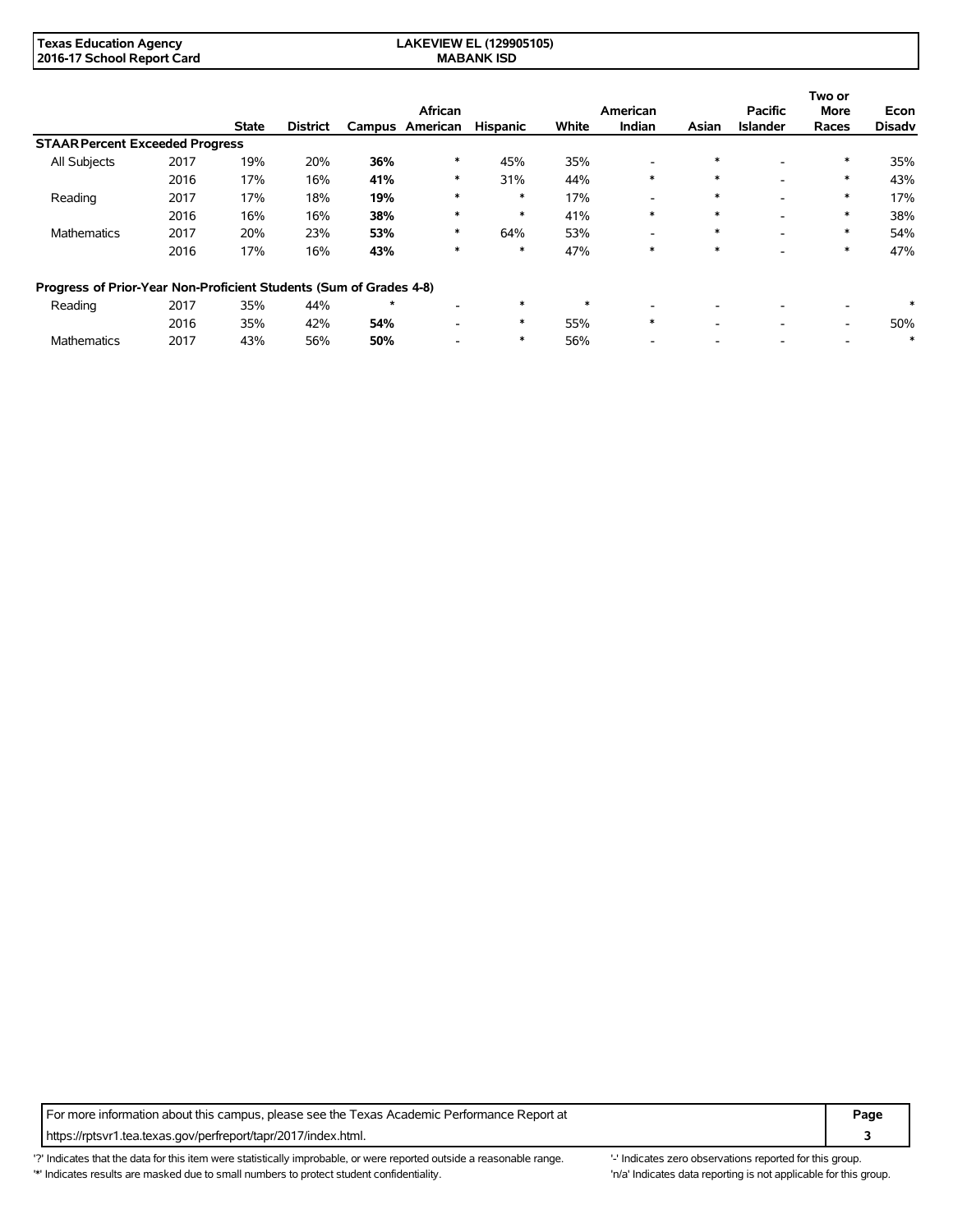| <b>Texas Education Agency</b> | <b>LAKEVIEW EL (129905105)</b> |  |
|-------------------------------|--------------------------------|--|
| 2016-17 School Report Card    | <b>MABANK ISD</b>              |  |

|                                                                    |      |              |                 |         | African         |                 |        | American                 |        | <b>Pacific</b>  | Two or<br><b>More</b>    | Econ          |
|--------------------------------------------------------------------|------|--------------|-----------------|---------|-----------------|-----------------|--------|--------------------------|--------|-----------------|--------------------------|---------------|
|                                                                    |      | <b>State</b> | <b>District</b> |         | Campus American | <b>Hispanic</b> | White  | <b>Indian</b>            | Asian  | <b>Islander</b> | Races                    | <b>Disadv</b> |
| <b>STAAR Percent Exceeded Progress</b>                             |      |              |                 |         |                 |                 |        |                          |        |                 |                          |               |
| <b>All Subjects</b>                                                | 2017 | 19%          | 20%             | 36%     | *               | 45%             | 35%    | -                        | $\ast$ |                 | $\ast$                   | 35%           |
|                                                                    | 2016 | 17%          | 16%             | 41%     | *               | 31%             | 44%    | $\ast$                   | $\ast$ | ۰               | $\ast$                   | 43%           |
| Reading                                                            | 2017 | 17%          | 18%             | 19%     | $\ast$          | $\ast$          | 17%    | $\overline{\phantom{0}}$ | $\ast$ |                 | $\ast$                   | 17%           |
|                                                                    | 2016 | 16%          | 16%             | 38%     | $\ast$          | $\ast$          | 41%    | $\ast$                   | $\ast$ |                 | $\ast$                   | 38%           |
| <b>Mathematics</b>                                                 | 2017 | 20%          | 23%             | 53%     | $\ast$          | 64%             | 53%    | $\overline{\phantom{0}}$ | $\ast$ | ۰               | $\ast$                   | 54%           |
|                                                                    | 2016 | 17%          | 16%             | 43%     | $\ast$          | $\ast$          | 47%    | $\ast$                   | $\ast$ |                 | $\ast$                   | 47%           |
| Progress of Prior-Year Non-Proficient Students (Sum of Grades 4-8) |      |              |                 |         |                 |                 |        |                          |        |                 |                          |               |
| Reading                                                            | 2017 | 35%          | 44%             | $\star$ |                 | $\ast$          | $\ast$ | -                        |        |                 |                          | $\ast$        |
|                                                                    | 2016 | 35%          | 42%             | 54%     |                 | $\ast$          | 55%    | $\ast$                   | ۰      | ۰               | $\overline{\phantom{a}}$ | 50%           |
| <b>Mathematics</b>                                                 | 2017 | 43%          | 56%             | 50%     |                 | $\ast$          | 56%    |                          |        |                 |                          | ∗             |

For more information about this campus, please see the Texas Academic Performance Report at **Page Page** https://rptsvr1.tea.texas.gov/perfreport/tapr/2017/index.html. **3**

'?' Indicates that the data for this item were statistically improbable, or were reported outside a reasonable range. "Indicates zero observations reported for this group. '\*' Indicates results are masked due to small numbers to protect student confidentiality. 'n/a' Indicates data reporting is not applicable for this group.